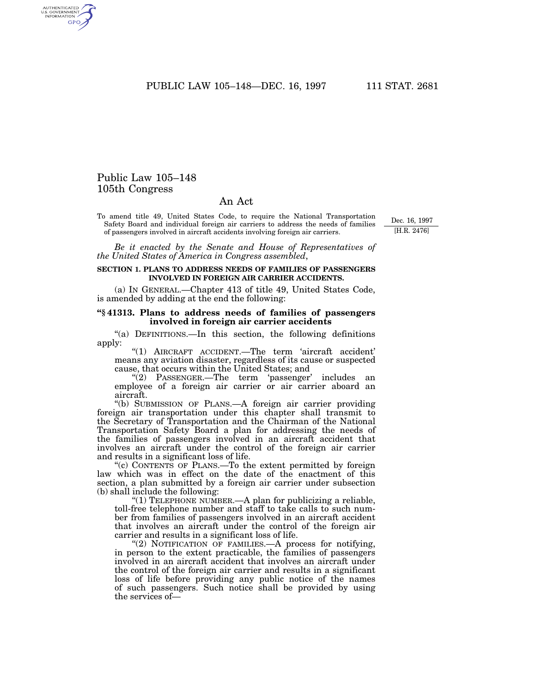PUBLIC LAW 105-148-DEC. 16, 1997 111 STAT. 2681

## Public Law 105–148 105th Congress

AUTHENTICATED<br>U.S. GOVERNMENT<br>INFORMATION GPO

## An Act

To amend title 49, United States Code, to require the National Transportation Safety Board and individual foreign air carriers to address the needs of families of passengers involved in aircraft accidents involving foreign air carriers.

Dec. 16, 1997 [H.R. 2476]

*Be it enacted by the Senate and House of Representatives of the United States of America in Congress assembled*,

## **SECTION 1. PLANS TO ADDRESS NEEDS OF FAMILIES OF PASSENGERS INVOLVED IN FOREIGN AIR CARRIER ACCIDENTS.**

(a) IN GENERAL.—Chapter 413 of title 49, United States Code, is amended by adding at the end the following:

## **''§ 41313. Plans to address needs of families of passengers involved in foreign air carrier accidents**

''(a) DEFINITIONS.—In this section, the following definitions apply:

''(1) AIRCRAFT ACCIDENT.—The term 'aircraft accident' means any aviation disaster, regardless of its cause or suspected cause, that occurs within the United States; and

"(2) PASSENGER.—The term 'passenger' includes an employee of a foreign air carrier or air carrier aboard an aircraft.

''(b) SUBMISSION OF PLANS.—A foreign air carrier providing foreign air transportation under this chapter shall transmit to the Secretary of Transportation and the Chairman of the National Transportation Safety Board a plan for addressing the needs of the families of passengers involved in an aircraft accident that involves an aircraft under the control of the foreign air carrier and results in a significant loss of life.

''(c) CONTENTS OF PLANS.—To the extent permitted by foreign law which was in effect on the date of the enactment of this section, a plan submitted by a foreign air carrier under subsection (b) shall include the following:

"(1) TELEPHONE NUMBER.—A plan for publicizing a reliable, toll-free telephone number and staff to take calls to such number from families of passengers involved in an aircraft accident that involves an aircraft under the control of the foreign air carrier and results in a significant loss of life.

"(2) NOTIFICATION OF FAMILIES. A process for notifying, in person to the extent practicable, the families of passengers involved in an aircraft accident that involves an aircraft under the control of the foreign air carrier and results in a significant loss of life before providing any public notice of the names of such passengers. Such notice shall be provided by using the services of—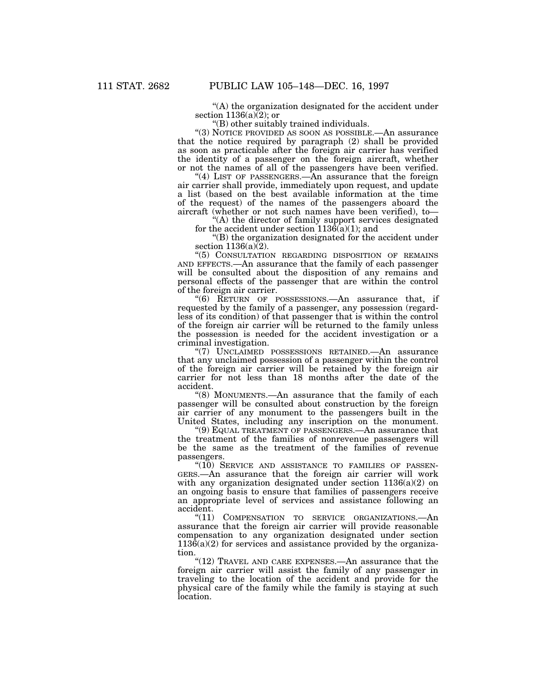''(A) the organization designated for the accident under section  $1136(a)(2)$ ; or

''(B) other suitably trained individuals.

''(3) NOTICE PROVIDED AS SOON AS POSSIBLE.—An assurance that the notice required by paragraph (2) shall be provided as soon as practicable after the foreign air carrier has verified the identity of a passenger on the foreign aircraft, whether or not the names of all of the passengers have been verified.

"(4) LIST OF PASSENGERS.—An assurance that the foreign air carrier shall provide, immediately upon request, and update a list (based on the best available information at the time of the request) of the names of the passengers aboard the aircraft (whether or not such names have been verified), to—

''(A) the director of family support services designated for the accident under section  $1136(a)(1)$ ; and

''(B) the organization designated for the accident under section  $1136(a)(2)$ .

''(5) CONSULTATION REGARDING DISPOSITION OF REMAINS AND EFFECTS.—An assurance that the family of each passenger will be consulted about the disposition of any remains and personal effects of the passenger that are within the control of the foreign air carrier.

''(6) RETURN OF POSSESSIONS.—An assurance that, if requested by the family of a passenger, any possession (regardless of its condition) of that passenger that is within the control of the foreign air carrier will be returned to the family unless the possession is needed for the accident investigation or a criminal investigation.

''(7) UNCLAIMED POSSESSIONS RETAINED.—An assurance that any unclaimed possession of a passenger within the control of the foreign air carrier will be retained by the foreign air carrier for not less than 18 months after the date of the accident.

''(8) MONUMENTS.—An assurance that the family of each passenger will be consulted about construction by the foreign air carrier of any monument to the passengers built in the United States, including any inscription on the monument.

''(9) EQUAL TREATMENT OF PASSENGERS.—An assurance that the treatment of the families of nonrevenue passengers will be the same as the treatment of the families of revenue passengers.

 $(10)$  SERVICE AND ASSISTANCE TO FAMILIES OF PASSEN-GERS.—An assurance that the foreign air carrier will work with any organization designated under section  $1136(a)(2)$  on an ongoing basis to ensure that families of passengers receive an appropriate level of services and assistance following an accident.

"(11) COMPENSATION TO SERVICE ORGANIZATIONS.—An assurance that the foreign air carrier will provide reasonable compensation to any organization designated under section  $113\hat{6}$ (a)(2) for services and assistance provided by the organization.

" $(12)$  TRAVEL AND CARE EXPENSES.—An assurance that the foreign air carrier will assist the family of any passenger in traveling to the location of the accident and provide for the physical care of the family while the family is staying at such location.